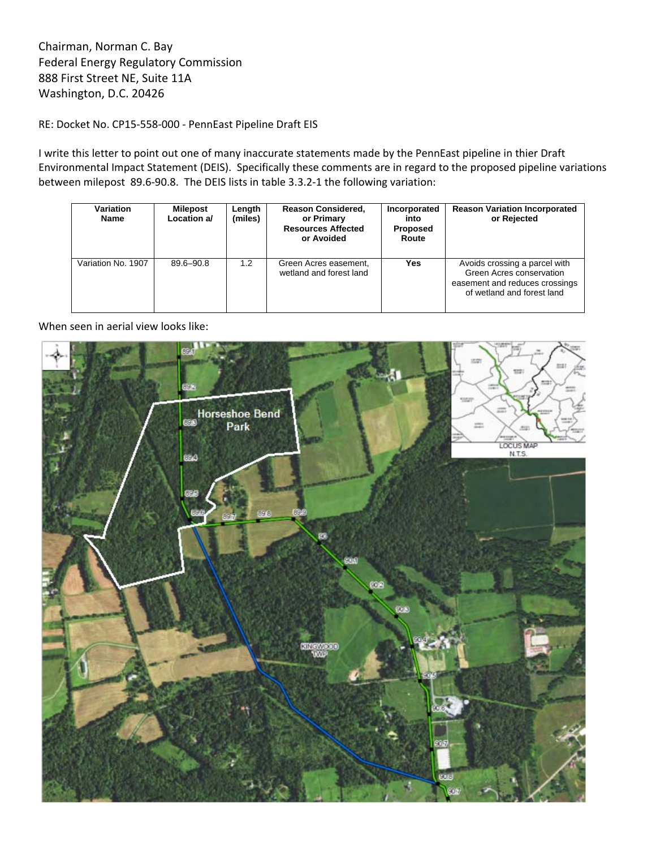Chairman, Norman C. Bay Federal Energy Regulatory Commission 888 First Street NE, Suite 11A Washington, D.C. 20426

RE: Docket No. CP15‐558‐000 ‐ PennEast Pipeline Draft EIS

I write this letter to point out one of many inaccurate statements made by the PennEast pipeline in thier Draft Environmental Impact Statement (DEIS). Specifically these comments are in regard to the proposed pipeline variations between milepost 89.6‐90.8. The DEIS lists in table 3.3.2‐1 the following variation:

| <b>Variation</b><br><b>Name</b> | Milepost<br>Location a/ | Length<br>(miles) | <b>Reason Considered,</b><br>or Primary<br><b>Resources Affected</b><br>or Avoided | Incorporated<br>into<br>Proposed<br>Route | <b>Reason Variation Incorporated</b><br>or Rejected                                                                       |
|---------------------------------|-------------------------|-------------------|------------------------------------------------------------------------------------|-------------------------------------------|---------------------------------------------------------------------------------------------------------------------------|
| Variation No. 1907              | $89.6 - 90.8$           | $1.2^{\circ}$     | Green Acres easement,<br>wetland and forest land                                   | Yes                                       | Avoids crossing a parcel with<br>Green Acres conservation<br>easement and reduces crossings<br>of wetland and forest land |

When seen in aerial view looks like: